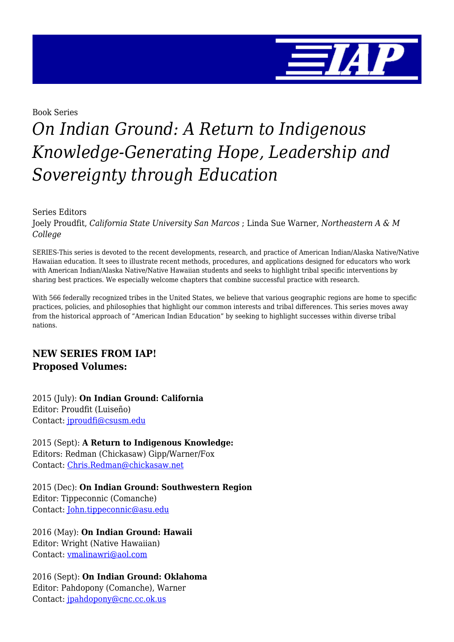

Book Series

## *On Indian Ground: A Return to Indigenous Knowledge-Generating Hope, Leadership and Sovereignty through Education*

Series Editors

Joely Proudfit, *California State University San Marcos* ; Linda Sue Warner, *Northeastern A & M College*

SERIES-This series is devoted to the recent developments, research, and practice of American Indian/Alaska Native/Native Hawaiian education. It sees to illustrate recent methods, procedures, and applications designed for educators who work with American Indian/Alaska Native/Native Hawaiian students and seeks to highlight tribal specific interventions by sharing best practices. We especially welcome chapters that combine successful practice with research.

With 566 federally recognized tribes in the United States, we believe that various geographic regions are home to specific practices, policies, and philosophies that highlight our common interests and tribal differences. This series moves away from the historical approach of "American Indian Education" by seeking to highlight successes within diverse tribal nations.

### **NEW SERIES FROM IAP! Proposed Volumes:**

2015 (July): **On Indian Ground: California** Editor: Proudfit (Luiseño) Contact: [jproudfi@csusm.edu](mailto:jproudfi@csusm.edu)

2015 (Sept): **A Return to Indigenous Knowledge:** Editors: Redman (Chickasaw) Gipp/Warner/Fox Contact: [Chris.Redman@chickasaw.net](mailto:Chris.Redman@chickasaw.net)

2015 (Dec): **On Indian Ground: Southwestern Region** Editor: Tippeconnic (Comanche) Contact: [John.tippeconnic@asu.edu](mailto:John.tippeconnic@asu.edu)

2016 (May): **On Indian Ground: Hawaii** Editor: Wright (Native Hawaiian) Contact: [vmalinawri@aol.com](mailto:vmalinawri@aol.com)

2016 (Sept): **On Indian Ground: Oklahoma** Editor: Pahdopony (Comanche), Warner Contact: [jpahdopony@cnc.cc.ok.us](mailto:jpahdopony@cnc.cc.ok.us)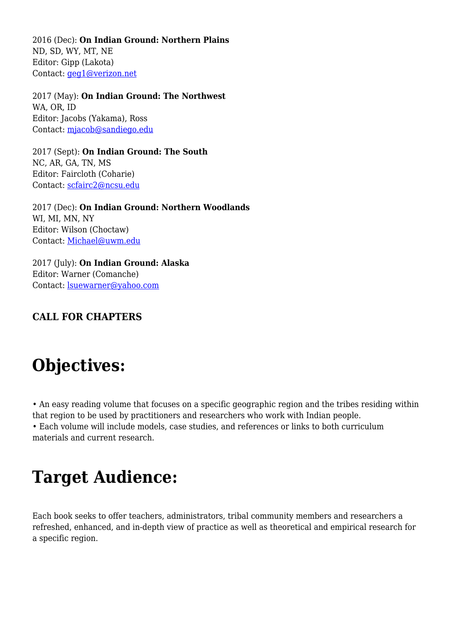2016 (Dec): **On Indian Ground: Northern Plains** ND, SD, WY, MT, NE Editor: Gipp (Lakota) Contact: [geg1@verizon.net](mailto:gegipp1@verison.net)

2017 (May): **On Indian Ground: The Northwest** WA, OR, ID Editor: Jacobs (Yakama), Ross Contact: [mjacob@sandiego.edu](mailto:mjacob@sandiego.edu)

2017 (Sept): **On Indian Ground: The South** NC, AR, GA, TN, MS Editor: Faircloth (Coharie) Contact: [scfairc2@ncsu.edu](mailto:scfairc2@ncsu.edu)

2017 (Dec): **On Indian Ground: Northern Woodlands** WI, MI, MN, NY Editor: Wilson (Choctaw) Contact: [Michael@uwm.edu](mailto:Michael@uwm.edu)

2017 (July): **On Indian Ground: Alaska** Editor: Warner (Comanche) Contact: [lsuewarner@yahoo.com](mailto:lsuewarner@yahoo.com)

### **CALL FOR CHAPTERS**

## **Objectives:**

• An easy reading volume that focuses on a specific geographic region and the tribes residing within that region to be used by practitioners and researchers who work with Indian people. • Each volume will include models, case studies, and references or links to both curriculum materials and current research.

## **Target Audience:**

Each book seeks to offer teachers, administrators, tribal community members and researchers a refreshed, enhanced, and in-depth view of practice as well as theoretical and empirical research for a specific region.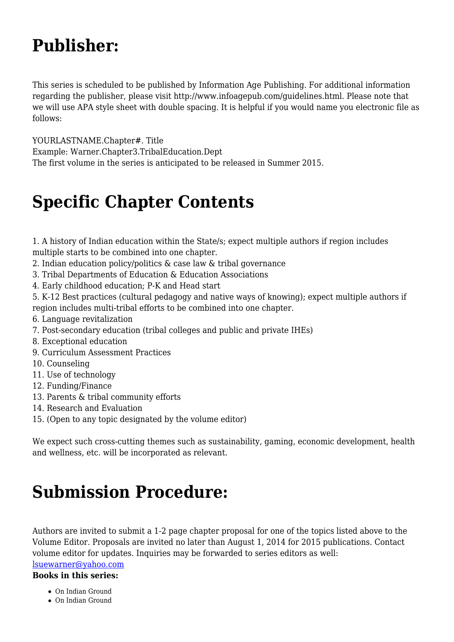## **Publisher:**

This series is scheduled to be published by Information Age Publishing. For additional information regarding the publisher, please visit http://www.infoagepub.com/guidelines.html. Please note that we will use APA style sheet with double spacing. It is helpful if you would name you electronic file as follows:

YOURLASTNAME.Chapter#. Title

Example: Warner.Chapter3.TribalEducation.Dept

The first volume in the series is anticipated to be released in Summer 2015.

## **Specific Chapter Contents**

1. A history of Indian education within the State/s; expect multiple authors if region includes multiple starts to be combined into one chapter.

- 2. Indian education policy/politics & case law & tribal governance
- 3. Tribal Departments of Education & Education Associations
- 4. Early childhood education; P-K and Head start

5. K-12 Best practices (cultural pedagogy and native ways of knowing); expect multiple authors if region includes multi-tribal efforts to be combined into one chapter.

- 6. Language revitalization
- 7. Post-secondary education (tribal colleges and public and private IHEs)
- 8. Exceptional education
- 9. Curriculum Assessment Practices
- 10. Counseling
- 11. Use of technology
- 12. Funding/Finance
- 13. Parents & tribal community efforts
- 14. Research and Evaluation
- 15. (Open to any topic designated by the volume editor)

We expect such cross-cutting themes such as sustainability, gaming, economic development, health and wellness, etc. will be incorporated as relevant.

## **Submission Procedure:**

Authors are invited to submit a 1-2 page chapter proposal for one of the topics listed above to the Volume Editor. Proposals are invited no later than August 1, 2014 for 2015 publications. Contact volume editor for updates. Inquiries may be forwarded to series editors as well:

[lsuewarner@yahoo.com](mailto:lsuewarner@yahoo.com)

**Books in this series:**

- On Indian Ground
- On Indian Ground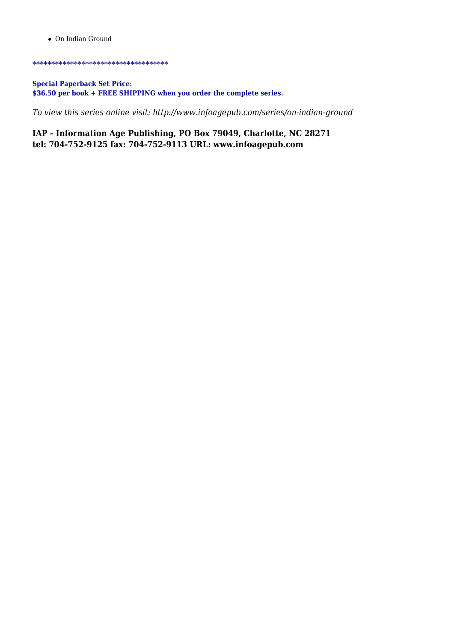On Indian Ground

#### \*\*\*\*\*\*\*\*\*\*\*\*\*\*\*\*\*\*\*\*\*\*\*\*\*\*\*\*\*\*\*\*\*\*\*\*

#### **Special Paperback Set Price: \$36.50 per book + FREE SHIPPING when you order the complete series.**

*To view this series online visit: http://www.infoagepub.com/series/on-indian-ground*

**IAP - Information Age Publishing, PO Box 79049, Charlotte, NC 28271 tel: 704-752-9125 fax: 704-752-9113 URL: www.infoagepub.com**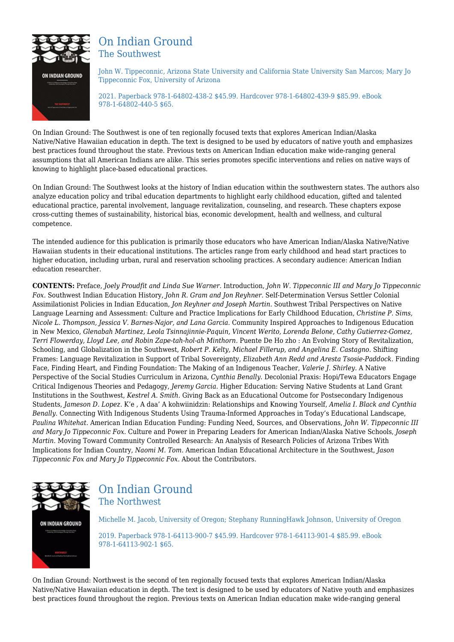

### On Indian Ground The Southwest

John W. Tippeconnic, Arizona State University and California State University San Marcos; Mary Jo Tippeconnic Fox, University of Arizona

2021. Paperback 978-1-64802-438-2 \$45.99. Hardcover 978-1-64802-439-9 \$85.99. eBook 978-1-64802-440-5 \$65.

On Indian Ground: The Southwest is one of ten regionally focused texts that explores American Indian/Alaska Native/Native Hawaiian education in depth. The text is designed to be used by educators of native youth and emphasizes best practices found throughout the state. Previous texts on American Indian education make wide-ranging general assumptions that all American Indians are alike. This series promotes specific interventions and relies on native ways of knowing to highlight place-based educational practices.

On Indian Ground: The Southwest looks at the history of Indian education within the southwestern states. The authors also analyze education policy and tribal education departments to highlight early childhood education, gifted and talented educational practice, parental involvement, language revitalization, counseling, and research. These chapters expose cross-cutting themes of sustainability, historical bias, economic development, health and wellness, and cultural competence.

The intended audience for this publication is primarily those educators who have American Indian/Alaska Native/Native Hawaiian students in their educational institutions. The articles range from early childhood and head start practices to higher education, including urban, rural and reservation schooling practices. A secondary audience: American Indian education researcher.

**CONTENTS:** Preface, *Joely Proudfit and Linda Sue Warner.* Introduction, *John W. Tippeconnic III and Mary Jo Tippeconnic Fox.* Southwest Indian Education History, *John R. Gram and Jon Reyhner.* Self-Determination Versus Settler Colonial Assimilationist Policies in Indian Education, *Jon Reyhner and Joseph Martin.* Southwest Tribal Perspectives on Native Language Learning and Assessment: Culture and Practice Implications for Early Childhood Education, *Christine P. Sims, Nicole L. Thompson, Jessica V. Barnes-Najor, and Lana Garcia.* Community Inspired Approaches to Indigenous Education in New Mexico, *Glenabah Martinez, Leola Tsinnajinnie-Paquin, Vincent Werito, Lorenda Belone, Cathy Gutierrez-Gomez, Terri Flowerday, Lloyd Lee, and Robin Zape-tah-hol-ah Minthorn.* Puente De Ho zho : An Evolving Story of Revitalization, Schooling, and Globalization in the Southwest, *Robert P. Kelty, Michael Fillerup, and Angelina E. Castagno.* Shifting Frames: Language Revitalization in Support of Tribal Sovereignty, *Elizabeth Ann Redd and Aresta Tsosie-Paddock.* Finding Face, Finding Heart, and Finding Foundation: The Making of an Indigenous Teacher, *Valerie J. Shirley.* A Native Perspective of the Social Studies Curriculum in Arizona, *Cynthia Benally.* Decolonial Praxis: Hopi/Tewa Educators Engage Critical Indigenous Theories and Pedagogy, *Jeremy Garcia.* Higher Education: Serving Native Students at Land Grant Institutions in the Southwest, *Kestrel A. Smith.* Giving Back as an Educational Outcome for Postsecondary Indigenous Students, *Jameson D. Lopez.* K'e , A daa' A kohwiinidzin: Relationships and Knowing Yourself, *Amelia I. Black and Cynthia Benally.* Connecting With Indigenous Students Using Trauma-Informed Approaches in Today's Educational Landscape, *Paulina Whitehat.* American Indian Education Funding: Funding Need, Sources, and Observations, *John W. Tippeconnic III and Mary Jo Tippeconnic Fox.* Culture and Power in Preparing Leaders for American Indian/Alaska Native Schools, *Joseph Martin.* Moving Toward Community Controlled Research: An Analysis of Research Policies of Arizona Tribes With Implications for Indian Country, *Naomi M. Tom.* American Indian Educational Architecture in the Southwest, *Jason Tippeconnic Fox and Mary Jo Tippeconnic Fox.* About the Contributors.



### On Indian Ground The Northwest

Michelle M. Jacob, University of Oregon; Stephany RunningHawk Johnson, University of Oregon

2019. Paperback 978-1-64113-900-7 \$45.99. Hardcover 978-1-64113-901-4 \$85.99. eBook 978-1-64113-902-1 \$65.

On Indian Ground: Northwest is the second of ten regionally focused texts that explores American Indian/Alaska Native/Native Hawaiian education in depth. The text is designed to be used by educators of Native youth and emphasizes best practices found throughout the region. Previous texts on American Indian education make wide-ranging general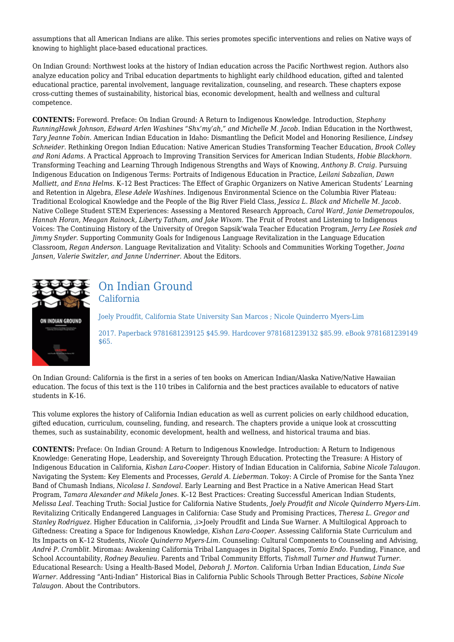assumptions that all American Indians are alike. This series promotes specific interventions and relies on Native ways of knowing to highlight place-based educational practices.

On Indian Ground: Northwest looks at the history of Indian education across the Pacific Northwest region. Authors also analyze education policy and Tribal education departments to highlight early childhood education, gifted and talented educational practice, parental involvement, language revitalization, counseling, and research. These chapters expose cross-cutting themes of sustainability, historical bias, economic development, health and wellness and cultural competence.

**CONTENTS:** Foreword. Preface: On Indian Ground: A Return to Indigenous Knowledge. Introduction, *Stephany RunningHawk Johnson, Edward Arlen Washines "Shx'my'ah," and Michelle M. Jacob.* Indian Education in the Northwest, *Tary Jeanne Tobin.* American Indian Education in Idaho: Dismantling the Deficit Model and Honoring Resilience, *Lindsey Schneider.* Rethinking Oregon Indian Education: Native American Studies Transforming Teacher Education, *Brook Colley and Roni Adams.* A Practical Approach to Improving Transition Services for American Indian Students, *Hobie Blackhorn.* Transforming Teaching and Learning Through Indigenous Strengths and Ways of Knowing, *Anthony B. Craig.* Pursuing Indigenous Education on Indigenous Terms: Portraits of Indigenous Education in Practice, *Leilani Sabzalian, Dawn Malliett, and Enna Helms.* K–12 Best Practices: The Effect of Graphic Organizers on Native American Students' Learning and Retention in Algebra, *Elese Adele Washines.* Indigenous Environmental Science on the Columbia River Plateau: Traditional Ecological Knowledge and the People of the Big River Field Class, *Jessica L. Black and Michelle M. Jacob.* Native College Student STEM Experiences: Assessing a Mentored Research Approach, *Carol Ward, Janie Demetropoulos, Hannah Horan, Meagan Rainock, Liberty Tatham, and Jake Wixom.* The Fruit of Protest and Listening to Indigenous Voices: The Continuing History of the University of Oregon Sapsik'wała Teacher Education Program, *Jerry Lee Rosiek and Jimmy Snyder.* Supporting Community Goals for Indigenous Language Revitalization in the Language Education Classroom, *Regan Anderson.* Language Revitalization and Vitality: Schools and Communities Working Together, *Joana Jansen, Valerie Switzler, and Janne Underriner.* About the Editors.



### On Indian Ground California

Joely Proudfit, California State University San Marcos ; Nicole Quinderro Myers‐Lim 2017. Paperback 9781681239125 \$45.99. Hardcover 9781681239132 \$85.99. eBook 9781681239149 \$65.

On Indian Ground: California is the first in a series of ten books on American Indian/Alaska Native/Native Hawaiian education. The focus of this text is the 110 tribes in California and the best practices available to educators of native students in K‐16.

This volume explores the history of California Indian education as well as current policies on early childhood education, gifted education, curriculum, counseling, funding, and research. The chapters provide a unique look at crosscutting themes, such as sustainability, economic development, health and wellness, and historical trauma and bias.

**CONTENTS:** Preface: On Indian Ground: A Return to Indigenous Knowledge. Introduction: A Return to Indigenous Knowledge: Generating Hope, Leadership, and Sovereignty Through Education. Protecting the Treasure: A History of Indigenous Education in California, *Kishan Lara‐Cooper.* History of Indian Education in California, *Sabine Nicole Talaugon.* Navigating the System: Key Elements and Processes, *Gerald A. Lieberman.* Tokoy: A Circle of Promise for the Santa Ynez Band of Chumash Indians, *Nicolasa I. Sandoval.* Early Learning and Best Practice in a Native American Head Start Program, *Tamara Alexander and Mikela Jones.* K–12 Best Practices: Creating Successful American Indian Students, *Melissa Leal.* Teaching Truth: Social Justice for California Native Students, *Joely Proudfit and Nicole Quinderro Myers‐Lim.* Revitalizing Critically Endangered Languages in California: Case Study and Promising Practices, *Theresa L. Gregor and Stanley Rodriguez.* Higher Education in California, ,i>Joely Proudfit and Linda Sue Warner. A Multilogical Approach to Giftedness: Creating a Space for Indigenous Knowledge, *Kishan Lara‐Cooper.* Assessing California State Curriculum and Its Impacts on K–12 Students, *Nicole Quinderro Myers‐Lim.* Counseling: Cultural Components to Counseling and Advising, *André P. Cramblit.* Miromaa: Awakening California Tribal Languages in Digital Spaces, *Tomio Endo.* Funding, Finance, and School Accountability, *Rodney Beaulieu.* Parents and Tribal Community Efforts, *Tishmall Turner and Hunwut Turner.* Educational Research: Using a Health‐Based Model, *Deborah J. Morton.* California Urban Indian Education, *Linda Sue Warner.* Addressing "Anti‐Indian" Historical Bias in California Public Schools Through Better Practices, *Sabine Nicole Talaugon.* About the Contributors.